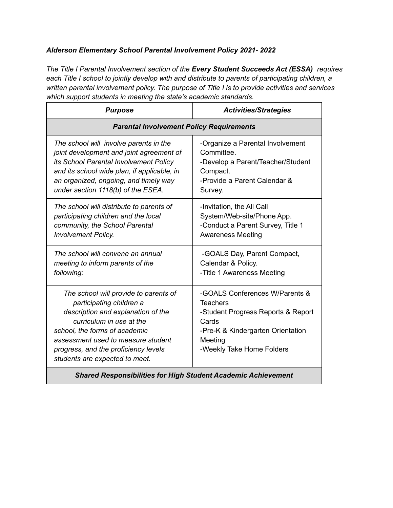## *Alderson Elementary School Parental Involvement Policy 2021- 2022*

*The Title I Parental Involvement section of the Every Student Succeeds Act (ESSA) requires each Title I school to jointly develop with and distribute to parents of participating children, a written parental involvement policy. The purpose of Title I is to provide activities and services which support students in meeting the state's academic standards.*

| <b>Purpose</b>                                                                                                                                                                                                                                                                       | <b>Activities/Strategies</b>                                                                                                                                                  |  |
|--------------------------------------------------------------------------------------------------------------------------------------------------------------------------------------------------------------------------------------------------------------------------------------|-------------------------------------------------------------------------------------------------------------------------------------------------------------------------------|--|
| <b>Parental Involvement Policy Requirements</b>                                                                                                                                                                                                                                      |                                                                                                                                                                               |  |
| The school will involve parents in the<br>joint development and joint agreement of<br>its School Parental Involvement Policy<br>and its school wide plan, if applicable, in<br>an organized, ongoing, and timely way<br>under section 1118(b) of the ESEA.                           | -Organize a Parental Involvement<br>Committee.<br>-Develop a Parent/Teacher/Student<br>Compact.<br>-Provide a Parent Calendar &<br>Survey.                                    |  |
| The school will distribute to parents of<br>participating children and the local<br>community, the School Parental<br><b>Involvement Policy.</b>                                                                                                                                     | -Invitation, the All Call<br>System/Web-site/Phone App.<br>-Conduct a Parent Survey, Title 1<br><b>Awareness Meeting</b>                                                      |  |
| The school will convene an annual<br>meeting to inform parents of the<br>following:                                                                                                                                                                                                  | -GOALS Day, Parent Compact,<br>Calendar & Policy.<br>-Title 1 Awareness Meeting                                                                                               |  |
| The school will provide to parents of<br>participating children a<br>description and explanation of the<br>curriculum in use at the<br>school, the forms of academic<br>assessment used to measure student<br>progress, and the proficiency levels<br>students are expected to meet. | -GOALS Conferences W/Parents &<br><b>Teachers</b><br>-Student Progress Reports & Report<br>Cards<br>-Pre-K & Kindergarten Orientation<br>Meeting<br>-Weekly Take Home Folders |  |
| <b>Shared Responsibilities for High Student Academic Achievement</b>                                                                                                                                                                                                                 |                                                                                                                                                                               |  |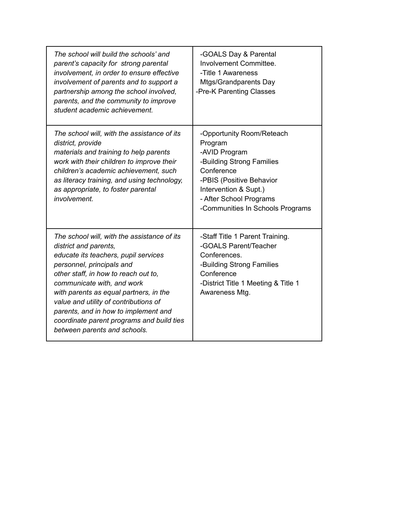| The school will build the schools' and<br>parent's capacity for strong parental<br>involvement, in order to ensure effective<br>involvement of parents and to support a<br>partnership among the school involved,<br>parents, and the community to improve<br>student academic achievement.                                                                                                                             | -GOALS Day & Parental<br>Involvement Committee.<br>-Title 1 Awareness<br>Mtgs/Grandparents Day<br>-Pre-K Parenting Classes                                                                                           |
|-------------------------------------------------------------------------------------------------------------------------------------------------------------------------------------------------------------------------------------------------------------------------------------------------------------------------------------------------------------------------------------------------------------------------|----------------------------------------------------------------------------------------------------------------------------------------------------------------------------------------------------------------------|
| The school will, with the assistance of its<br>district, provide<br>materials and training to help parents<br>work with their children to improve their<br>children's academic achievement, such<br>as literacy training, and using technology,<br>as appropriate, to foster parental<br>involvement.                                                                                                                   | -Opportunity Room/Reteach<br>Program<br>-AVID Program<br>-Building Strong Families<br>Conference<br>-PBIS (Positive Behavior<br>Intervention & Supt.)<br>- After School Programs<br>-Communities In Schools Programs |
| The school will, with the assistance of its<br>district and parents,<br>educate its teachers, pupil services<br>personnel, principals and<br>other staff, in how to reach out to,<br>communicate with, and work<br>with parents as equal partners, in the<br>value and utility of contributions of<br>parents, and in how to implement and<br>coordinate parent programs and build ties<br>between parents and schools. | -Staff Title 1 Parent Training.<br>-GOALS Parent/Teacher<br>Conferences.<br>-Building Strong Families<br>Conference<br>-District Title 1 Meeting & Title 1<br>Awareness Mtg.                                         |